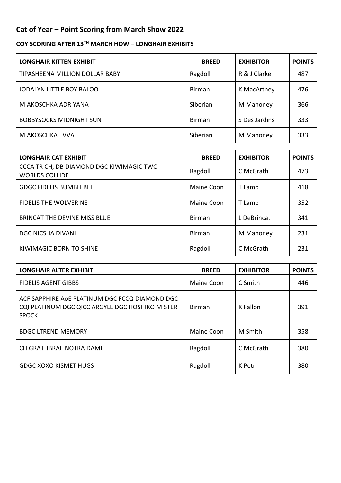## **Cat of Year – Point Scoring from March Show 2022**

## **COY SCORING AFTER 13TH MARCH HOW – LONGHAIR EXHIBITS**

| <b>LONGHAIR KITTEN EXHIBIT</b>  | <b>BREED</b>  | <b>EXHIBITOR</b> | <b>POINTS</b> |
|---------------------------------|---------------|------------------|---------------|
| TIPASHEENA MILLION DOLLAR BABY  | Ragdoll       | R & J Clarke     | 487           |
| <b>JODALYN LITTLE BOY BALOO</b> | <b>Birman</b> | K MacArtney      | 476           |
| MIAKOSCHKA ADRIYANA             | Siberian      | M Mahoney        | 366           |
| <b>BOBBYSOCKS MIDNIGHT SUN</b>  | <b>Birman</b> | S Des Jardins    | 333           |
| <b>MIAKOSCHKA EVVA</b>          | Siberian      | M Mahoney        | 333           |

| <b>LONGHAIR CAT EXHIBIT</b>                                       | <b>BREED</b>  | <b>EXHIBITOR</b> | <b>POINTS</b> |
|-------------------------------------------------------------------|---------------|------------------|---------------|
| CCCA TR CH, DB DIAMOND DGC KIWIMAGIC TWO<br><b>WORLDS COLLIDE</b> | Ragdoll       | C McGrath        | 473           |
| <b>GDGC FIDELIS BUMBLEBEE</b>                                     | Maine Coon    | T Lamb           | 418           |
| <b>FIDELIS THE WOLVERINE</b>                                      | Maine Coon    | T Lamb           | 352           |
| <b>BRINCAT THE DEVINE MISS BLUE</b>                               | Birman        | L DeBrincat      | 341           |
| <b>DGC NICSHA DIVANI</b>                                          | <b>Birman</b> | M Mahoney        | 231           |
| KIWIMAGIC BORN TO SHINE                                           | Ragdoll       | C McGrath        | 231           |

| <b>LONGHAIR ALTER EXHIBIT</b>                                                                                     | <b>BREED</b> | <b>EXHIBITOR</b> | <b>POINTS</b> |
|-------------------------------------------------------------------------------------------------------------------|--------------|------------------|---------------|
| <b>FIDELIS AGENT GIBBS</b>                                                                                        | Maine Coon   | C Smith          | 446           |
| ACF SAPPHIRE AOE PLATINUM DGC FCCQ DIAMOND DGC<br>CQI PLATINUM DGC QICC ARGYLE DGC HOSHIKO MISTER<br><b>SPOCK</b> | Birman       | K Fallon         | 391           |
| <b>BDGC LTREND MEMORY</b>                                                                                         | Maine Coon   | M Smith          | 358           |
| CH GRATHBRAE NOTRA DAME                                                                                           | Ragdoll      | C McGrath        | 380           |
| <b>GDGC XOXO KISMET HUGS</b>                                                                                      | Ragdoll      | K Petri          | 380           |